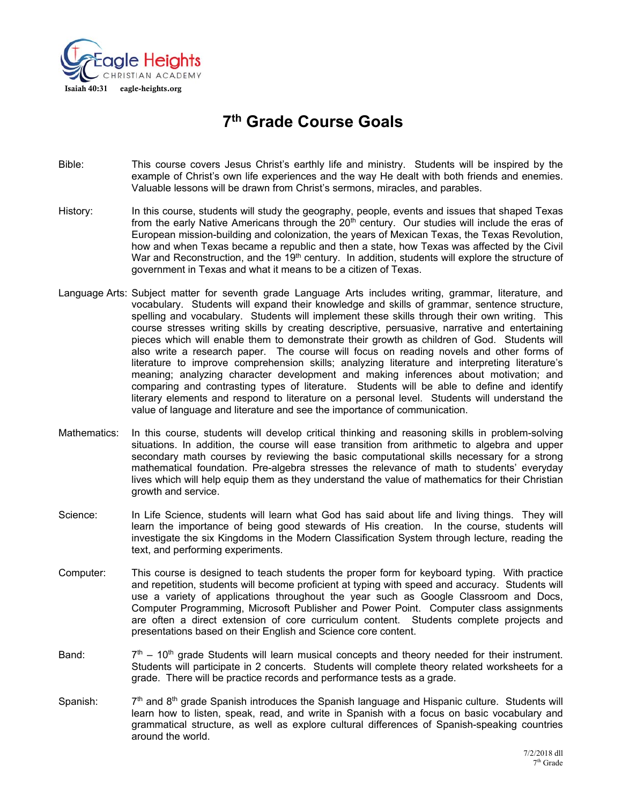

# **7th Grade Course Goals**

- Bible: This course covers Jesus Christ's earthly life and ministry. Students will be inspired by the example of Christ's own life experiences and the way He dealt with both friends and enemies. Valuable lessons will be drawn from Christ's sermons, miracles, and parables.
- History: In this course, students will study the geography, people, events and issues that shaped Texas from the early Native Americans through the  $20<sup>th</sup>$  century. Our studies will include the eras of European mission-building and colonization, the years of Mexican Texas, the Texas Revolution, how and when Texas became a republic and then a state, how Texas was affected by the Civil War and Reconstruction, and the  $19<sup>th</sup>$  century. In addition, students will explore the structure of government in Texas and what it means to be a citizen of Texas.
- Language Arts: Subject matter for seventh grade Language Arts includes writing, grammar, literature, and vocabulary. Students will expand their knowledge and skills of grammar, sentence structure, spelling and vocabulary. Students will implement these skills through their own writing. This course stresses writing skills by creating descriptive, persuasive, narrative and entertaining pieces which will enable them to demonstrate their growth as children of God. Students will also write a research paper. The course will focus on reading novels and other forms of literature to improve comprehension skills; analyzing literature and interpreting literature's meaning; analyzing character development and making inferences about motivation; and comparing and contrasting types of literature. Students will be able to define and identify literary elements and respond to literature on a personal level. Students will understand the value of language and literature and see the importance of communication.
- Mathematics: In this course, students will develop critical thinking and reasoning skills in problem-solving situations. In addition, the course will ease transition from arithmetic to algebra and upper secondary math courses by reviewing the basic computational skills necessary for a strong mathematical foundation. Pre-algebra stresses the relevance of math to students' everyday lives which will help equip them as they understand the value of mathematics for their Christian growth and service.
- Science: In Life Science, students will learn what God has said about life and living things. They will learn the importance of being good stewards of His creation. In the course, students will investigate the six Kingdoms in the Modern Classification System through lecture, reading the text, and performing experiments.
- Computer: This course is designed to teach students the proper form for keyboard typing. With practice and repetition, students will become proficient at typing with speed and accuracy. Students will use a variety of applications throughout the year such as Google Classroom and Docs, Computer Programming, Microsoft Publisher and Power Point. Computer class assignments are often a direct extension of core curriculum content. Students complete projects and presentations based on their English and Science core content.
- Band:  $7<sup>th</sup> 10<sup>th</sup>$  grade Students will learn musical concepts and theory needed for their instrument. Students will participate in 2 concerts. Students will complete theory related worksheets for a grade. There will be practice records and performance tests as a grade.
- Spanish:  $7<sup>th</sup>$  and 8<sup>th</sup> grade Spanish introduces the Spanish language and Hispanic culture. Students will learn how to listen, speak, read, and write in Spanish with a focus on basic vocabulary and grammatical structure, as well as explore cultural differences of Spanish-speaking countries around the world.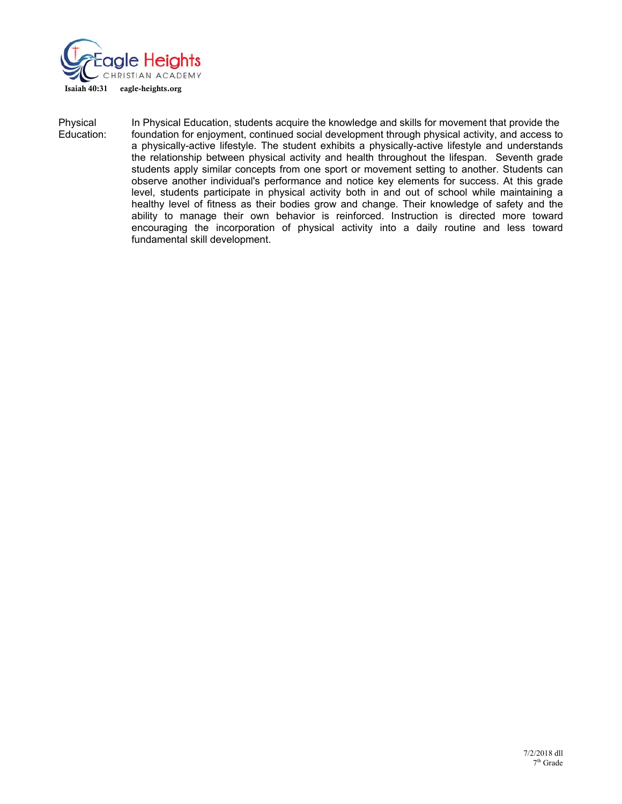

Physical In Physical Education, students acquire the knowledge and skills for movement that provide the Education: foundation for enjoyment, continued social development through physical activity, and access to a physically-active lifestyle. The student exhibits a physically-active lifestyle and understands the relationship between physical activity and health throughout the lifespan. Seventh grade students apply similar concepts from one sport or movement setting to another. Students can observe another individual's performance and notice key elements for success. At this grade level, students participate in physical activity both in and out of school while maintaining a healthy level of fitness as their bodies grow and change. Their knowledge of safety and the ability to manage their own behavior is reinforced. Instruction is directed more toward encouraging the incorporation of physical activity into a daily routine and less toward fundamental skill development.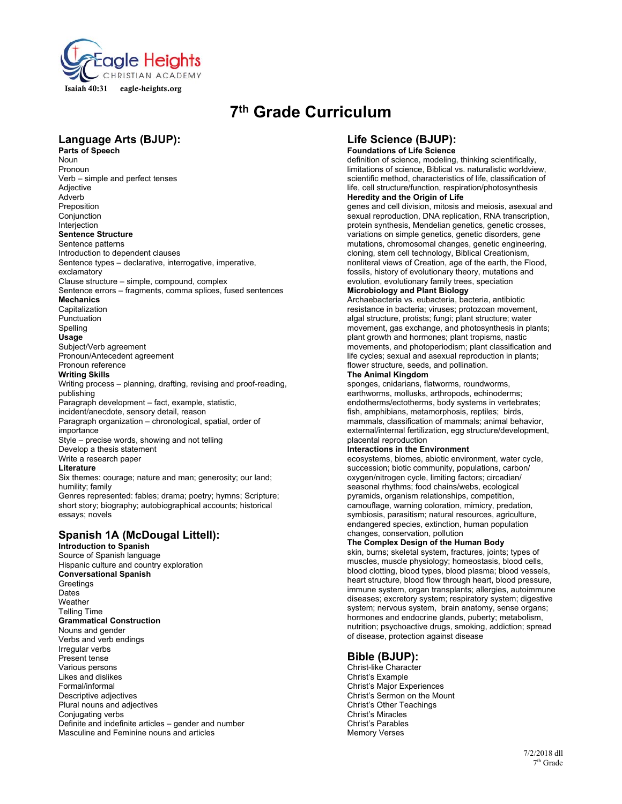

# **7th Grade Curriculum**

# **Language Arts (BJUP):**

**Parts of Speech**  Noun Pronoun Verb – simple and perfect tenses Adjective Adverb Preposition Conjunction Interjection **Sentence Structure**  Sentence patterns Introduction to dependent clauses Sentence types – declarative, interrogative, imperative, exclamatory Clause structure – simple, compound, complex Sentence errors – fragments, comma splices, fused sentences **Mechanics**  Capitalization Punctuation Spelling **Usage** Subject/Verb agreement Pronoun/Antecedent agreement Pronoun reference **Writing Skills**  Writing process – planning, drafting, revising and proof-reading, publishing Paragraph development – fact, example, statistic, incident/anecdote, sensory detail, reason Paragraph organization – chronological, spatial, order of

importance Style – precise words, showing and not telling Develop a thesis statement Write a research paper

#### **Literature**

Six themes: courage; nature and man; generosity; our land; humility; family

Genres represented: fables; drama; poetry; hymns; Scripture; short story; biography; autobiographical accounts; historical essays; novels

# **Spanish 1A (McDougal Littell):**

**Introduction to Spanish** 

Source of Spanish language Hispanic culture and country exploration **Conversational Spanish Greetings** Dates Weather Telling Time **Grammatical Construction**  Nouns and gender Verbs and verb endings Irregular verbs Present tense Various persons Likes and dislikes Formal/informal Descriptive adjectives Plural nouns and adjectives Conjugating verbs Definite and indefinite articles – gender and number Masculine and Feminine nouns and articles

# **Life Science (BJUP): Foundations of Life Science**

definition of science, modeling, thinking scientifically, limitations of science, Biblical vs. naturalistic worldview, scientific method, characteristics of life, classification of life, cell structure/function, respiration/photosynthesis **Heredity and the Origin of Life** 

genes and cell division, mitosis and meiosis, asexual and sexual reproduction, DNA replication, RNA transcription, protein synthesis, Mendelian genetics, genetic crosses, variations on simple genetics, genetic disorders, gene mutations, chromosomal changes, genetic engineering, cloning, stem cell technology, Biblical Creationism, nonliteral views of Creation, age of the earth, the Flood, fossils, history of evolutionary theory, mutations and evolution, evolutionary family trees, speciation

# **Microbiology and Plant Biology**

Archaebacteria vs. eubacteria, bacteria, antibiotic resistance in bacteria; viruses; protozoan movement, algal structure, protists; fungi; plant structure; water movement, gas exchange, and photosynthesis in plants; plant growth and hormones; plant tropisms, nastic movements, and photoperiodism; plant classification and life cycles; sexual and asexual reproduction in plants; flower structure, seeds, and pollination.

# **The Animal Kingdom**

sponges, cnidarians, flatworms, roundworms, earthworms, mollusks, arthropods, echinoderms; endotherms/ectotherms, body systems in vertebrates; fish, amphibians, metamorphosis, reptiles; birds, mammals, classification of mammals; animal behavior, external/internal fertilization, egg structure/development, placental reproduction

# **Interactions in the Environment**

ecosystems, biomes, abiotic environment, water cycle, succession; biotic community, populations, carbon/ oxygen/nitrogen cycle, limiting factors; circadian/ seasonal rhythms; food chains/webs, ecological pyramids, organism relationships, competition, camouflage, warning coloration, mimicry, predation, symbiosis, parasitism; natural resources, agriculture, endangered species, extinction, human population changes, conservation, pollution

# **The Complex Design of the Human Body**

skin, burns; skeletal system, fractures, joints; types of muscles, muscle physiology; homeostasis, blood cells, blood clotting, blood types, blood plasma; blood vessels, heart structure, blood flow through heart, blood pressure, immune system, organ transplants; allergies, autoimmune diseases; excretory system; respiratory system; digestive system; nervous system, brain anatomy, sense organs; hormones and endocrine glands, puberty; metabolism, nutrition; psychoactive drugs, smoking, addiction; spread of disease, protection against disease

# **Bible (BJUP):**

Christ-like Character Christ's Example Christ's Major Experiences Christ's Sermon on the Mount Christ's Other Teachings Christ's Miracles Christ's Parables Memory Verses